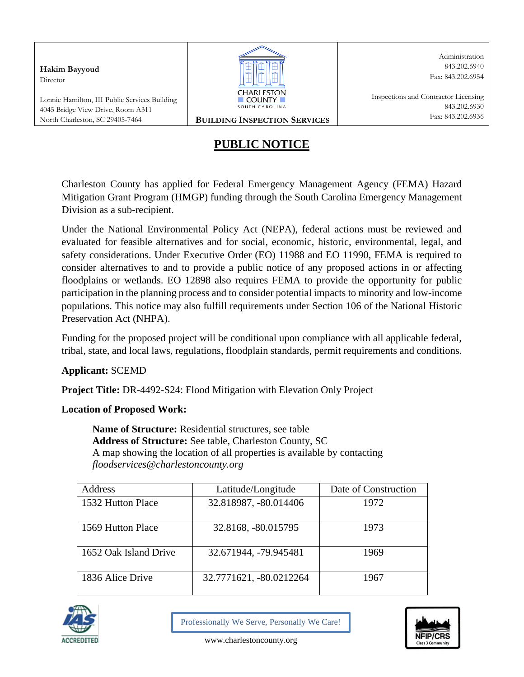**Hakim Bayyoud** Director

Lonnie Hamilton, III Public Services Building 4045 Bridge View Drive, Room A311 North Charleston, SC 29405-7464 **BUILDING INSPECTION SERVICES**



Administration 843.202.6940 Fax: 843.202.6954

# **PUBLIC NOTICE**

Charleston County has applied for Federal Emergency Management Agency (FEMA) Hazard Mitigation Grant Program (HMGP) funding through the South Carolina Emergency Management Division as a sub-recipient.

Under the National Environmental Policy Act (NEPA), federal actions must be reviewed and evaluated for feasible alternatives and for social, economic, historic, environmental, legal, and safety considerations. Under Executive Order (EO) 11988 and EO 11990, FEMA is required to consider alternatives to and to provide a public notice of any proposed actions in or affecting floodplains or wetlands. EO 12898 also requires FEMA to provide the opportunity for public participation in the planning process and to consider potential impacts to minority and low-income populations. This notice may also fulfill requirements under Section 106 of the National Historic Preservation Act (NHPA).

Funding for the proposed project will be conditional upon compliance with all applicable federal, tribal, state, and local laws, regulations, floodplain standards, permit requirements and conditions.

## **Applicant:** SCEMD

**Project Title:** DR-4492-S24: Flood Mitigation with Elevation Only Project

## **Location of Proposed Work:**

**Name of Structure:** Residential structures, see table **Address of Structure:** See table, Charleston County, SC A map showing the location of all properties is available by contacting *floodservices@charlestoncounty.org*

| Address               | Latitude/Longitude      | Date of Construction |
|-----------------------|-------------------------|----------------------|
| 1532 Hutton Place     | 32.818987, -80.014406   | 1972                 |
| 1569 Hutton Place     | 32.8168, -80.015795     | 1973                 |
| 1652 Oak Island Drive | 32.671944, -79.945481   | 1969                 |
| 1836 Alice Drive      | 32.7771621, -80.0212264 | 1967                 |



Professionally We Serve, Personally We Care!